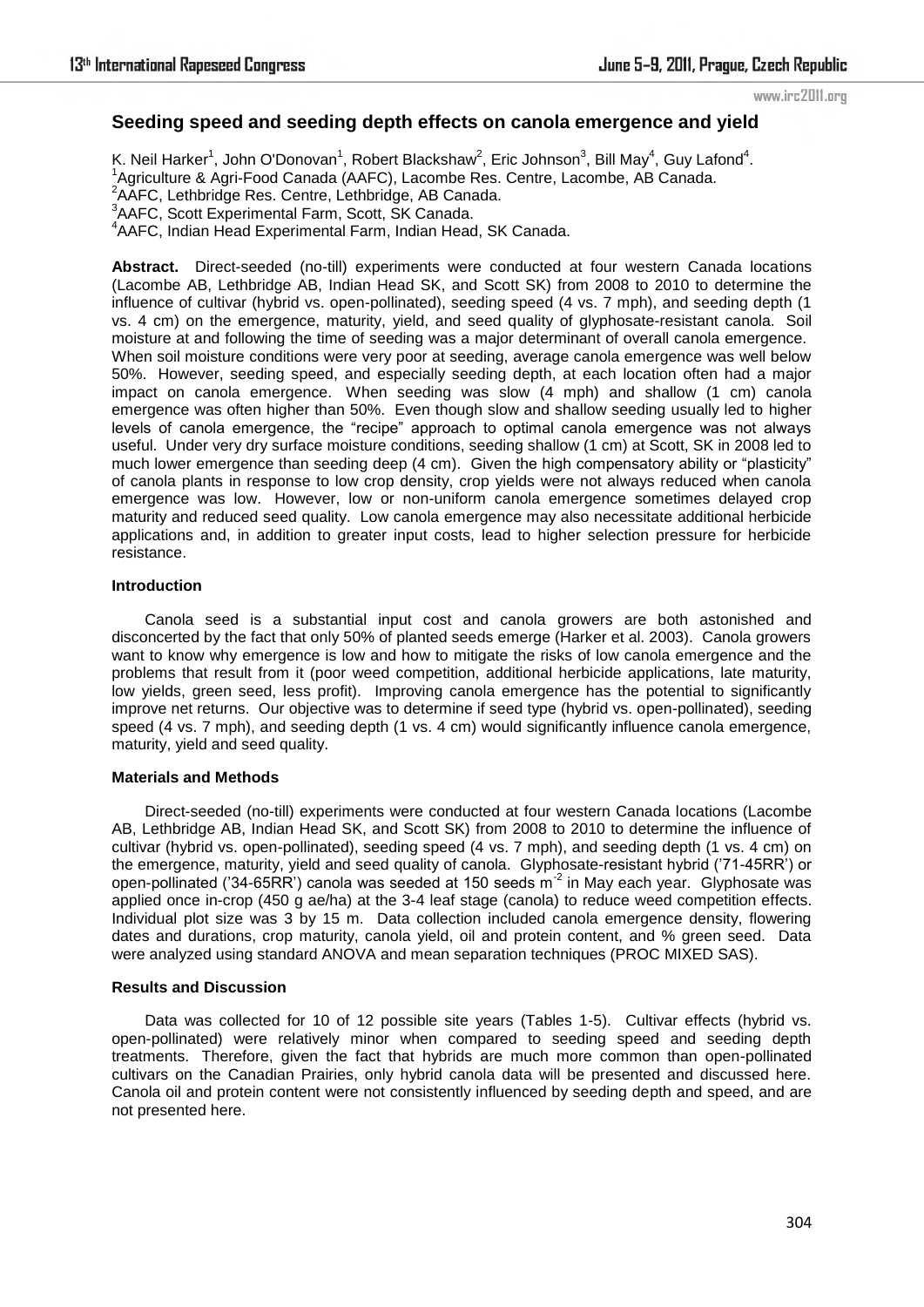www.irc2011.org

# **Seeding speed and seeding depth effects on canola emergence and yield**

K. Neil Harker<sup>1</sup>, John O'Donovan<sup>1</sup>, Robert Blackshaw<sup>2</sup>, Eric Johnson<sup>3</sup>, Bill May<sup>4</sup>, Guy Lafond<sup>4</sup>. <sup>1</sup>Agriculture & Agri-Food Canada (AAFC), Lacombe Res. Centre, Lacombe, AB Canada. <sup>2</sup>AAFC, Lethbridge Res. Centre, Lethbridge, AB Canada. <sup>3</sup> AAFC, Scott Experimental Farm, Scott, SK Canada. 4 AAFC, Indian Head Experimental Farm, Indian Head, SK Canada.

**Abstract.** Direct-seeded (no-till) experiments were conducted at four western Canada locations (Lacombe AB, Lethbridge AB, Indian Head SK, and Scott SK) from 2008 to 2010 to determine the influence of cultivar (hybrid vs. open-pollinated), seeding speed (4 vs. 7 mph), and seeding depth (1 vs. 4 cm) on the emergence, maturity, yield, and seed quality of glyphosate-resistant canola. Soil moisture at and following the time of seeding was a major determinant of overall canola emergence. When soil moisture conditions were very poor at seeding, average canola emergence was well below 50%. However, seeding speed, and especially seeding depth, at each location often had a major impact on canola emergence. When seeding was slow (4 mph) and shallow (1 cm) canola emergence was often higher than 50%. Even though slow and shallow seeding usually led to higher levels of canola emergence, the "recipe" approach to optimal canola emergence was not always useful. Under very dry surface moisture conditions, seeding shallow (1 cm) at Scott, SK in 2008 led to much lower emergence than seeding deep (4 cm). Given the high compensatory ability or "plasticity" of canola plants in response to low crop density, crop yields were not always reduced when canola emergence was low. However, low or non-uniform canola emergence sometimes delayed crop maturity and reduced seed quality. Low canola emergence may also necessitate additional herbicide applications and, in addition to greater input costs, lead to higher selection pressure for herbicide resistance.

#### **Introduction**

Canola seed is a substantial input cost and canola growers are both astonished and disconcerted by the fact that only 50% of planted seeds emerge (Harker et al. 2003). Canola growers want to know why emergence is low and how to mitigate the risks of low canola emergence and the problems that result from it (poor weed competition, additional herbicide applications, late maturity, low yields, green seed, less profit). Improving canola emergence has the potential to significantly improve net returns. Our objective was to determine if seed type (hybrid vs. open-pollinated), seeding speed (4 vs. 7 mph), and seeding depth (1 vs. 4 cm) would significantly influence canola emergence, maturity, yield and seed quality.

#### **Materials and Methods**

Direct-seeded (no-till) experiments were conducted at four western Canada locations (Lacombe AB, Lethbridge AB, Indian Head SK, and Scott SK) from 2008 to 2010 to determine the influence of cultivar (hybrid vs. open-pollinated), seeding speed (4 vs. 7 mph), and seeding depth (1 vs. 4 cm) on the emergence, maturity, yield and seed quality of canola. Glyphosate-resistant hybrid ('71-45RR') or open-pollinated ('34-65RR') canola was seeded at 150 seeds  $m^2$  in May each year. Glyphosate was applied once in-crop (450 g ae/ha) at the 3-4 leaf stage (canola) to reduce weed competition effects. Individual plot size was 3 by 15 m. Data collection included canola emergence density, flowering dates and durations, crop maturity, canola yield, oil and protein content, and % green seed. Data were analyzed using standard ANOVA and mean separation techniques (PROC MIXED SAS).

#### **Results and Discussion**

Data was collected for 10 of 12 possible site years (Tables 1-5). Cultivar effects (hybrid vs. open-pollinated) were relatively minor when compared to seeding speed and seeding depth treatments. Therefore, given the fact that hybrids are much more common than open-pollinated cultivars on the Canadian Prairies, only hybrid canola data will be presented and discussed here. Canola oil and protein content were not consistently influenced by seeding depth and speed, and are not presented here.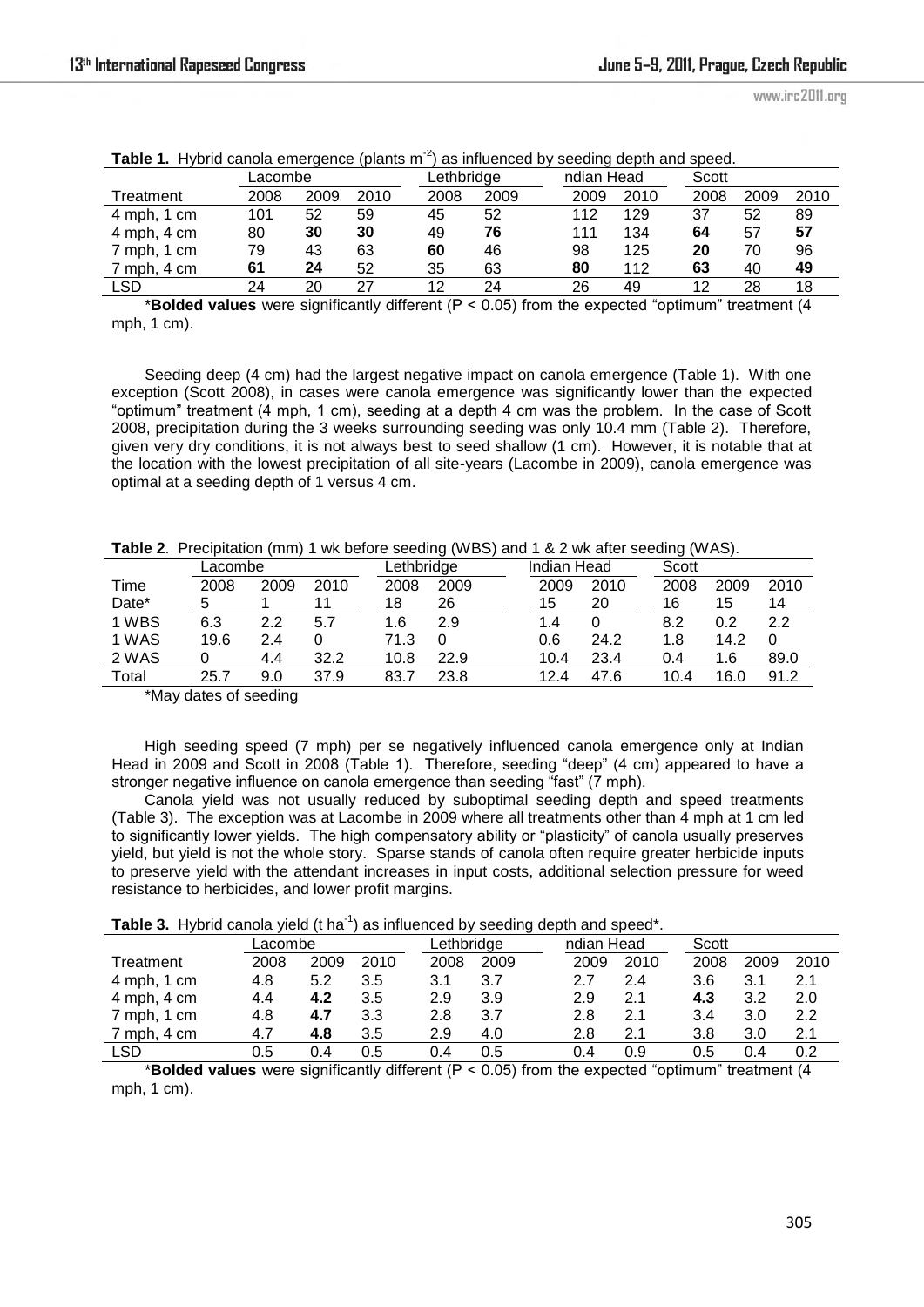| <b>Table 1.</b> Trybild calloid emergence (plants in<br>as implemed by seeding depth and speed. |         |      |      |      |            |      |            |      |       |      |
|-------------------------------------------------------------------------------------------------|---------|------|------|------|------------|------|------------|------|-------|------|
|                                                                                                 | Lacombe |      |      |      | Lethbridge |      | ndian Head |      | Scott |      |
| Treatment                                                                                       | 2008    | 2009 | 2010 | 2008 | 2009       | 2009 | 2010       | 2008 | 2009  | 2010 |
| $4$ mph, $1$ cm                                                                                 | 101     | 52   | 59   | 45   | 52         | 112  | 129        | 37   | 52    | 89   |
| 4 mph, 4 cm                                                                                     | 80      | 30   | 30   | 49   | 76         | 111  | 134        | 64   | 57    | 57   |
| 7 mph, 1 cm                                                                                     | 79      | 43   | 63   | 60   | 46         | 98   | 125        | 20   | 70    | 96   |
| 7 mph, 4 cm                                                                                     | 61      | 24   | 52   | 35   | 63         | 80   | 112        | 63   | 40    | 49   |
| LSD                                                                                             | 24      | 20   | 27   | 12   | 24         | 26   | 49         | 12   | 28    | 18   |

|  |  |  |  |  | <b>Table 1.</b> Hybrid canola emergence (plants $m-2$ ) as influenced by seeding depth and speed. |  |  |  |  |
|--|--|--|--|--|---------------------------------------------------------------------------------------------------|--|--|--|--|
|--|--|--|--|--|---------------------------------------------------------------------------------------------------|--|--|--|--|

\***Bolded values** were significantly different (P < 0.05) from the expected "optimum" treatment (4 mph, 1 cm).

Seeding deep (4 cm) had the largest negative impact on canola emergence (Table 1). With one exception (Scott 2008), in cases were canola emergence was significantly lower than the expected ―optimum‖ treatment (4 mph, 1 cm), seeding at a depth 4 cm was the problem. In the case of Scott 2008, precipitation during the 3 weeks surrounding seeding was only 10.4 mm (Table 2). Therefore, given very dry conditions, it is not always best to seed shallow (1 cm). However, it is notable that at the location with the lowest precipitation of all site-years (Lacombe in 2009), canola emergence was optimal at a seeding depth of 1 versus 4 cm.

| Table 2. Precipitation (mm) 1 wk before seeding (WBS) and 1 & 2 wk after seeding (WAS). |  |
|-----------------------------------------------------------------------------------------|--|
|-----------------------------------------------------------------------------------------|--|

|       | Lacombe |      |      |      | Lethbridge |      | Indian Head | Scott |      |      |
|-------|---------|------|------|------|------------|------|-------------|-------|------|------|
| Time  | 2008    | 2009 | 2010 | 2008 | 2009       | 2009 | 2010        | 2008  | 2009 | 2010 |
| Date* | 5       |      |      | 18   | 26         | 15   | 20          | 16    | 15   | 14   |
| 1 WBS | 6.3     | つつ   | 5.7  | 1.6  | 2.9        | 1.4  |             | 8.2   |      | 2.2  |
| 1 WAS | 19.6    | 2.4  |      | 71.3 |            | 0.6  | 24.2        | 1.8   | 14.2 | 0    |
| 2 WAS |         | 4.4  | 32.2 | 10.8 | 22.9       | 10.4 | 23.4        | 0.4   | 1.6  | 89.0 |
| Total | 25.7    | 9.0  | 37.9 | 83.7 | 23.8       | 124  | 47.6        | 10.4  | 16.0 | 91.2 |

\*May dates of seeding

High seeding speed (7 mph) per se negatively influenced canola emergence only at Indian Head in 2009 and Scott in 2008 (Table 1). Therefore, seeding "deep" (4 cm) appeared to have a stronger negative influence on canola emergence than seeding "fast" (7 mph).

Canola yield was not usually reduced by suboptimal seeding depth and speed treatments (Table 3). The exception was at Lacombe in 2009 where all treatments other than 4 mph at 1 cm led to significantly lower yields. The high compensatory ability or "plasticity" of canola usually preserves yield, but yield is not the whole story. Sparse stands of canola often require greater herbicide inputs to preserve yield with the attendant increases in input costs, additional selection pressure for weed resistance to herbicides, and lower profit margins.

|  |  |  | Table 3. Hybrid canola yield (t ha <sup>-1</sup> ) as influenced by seeding depth and speed*. |  |  |
|--|--|--|-----------------------------------------------------------------------------------------------|--|--|
|--|--|--|-----------------------------------------------------------------------------------------------|--|--|

|                 | Lacombe |      |      | _ethbridge |      | ndian Head |      | Scott |      |      |
|-----------------|---------|------|------|------------|------|------------|------|-------|------|------|
| Treatment       | 2008    | 2009 | 2010 | 2008       | 2009 | 2009       | 2010 | 2008  | 2009 | 2010 |
| 4 mph, 1 cm     | 4.8     | 5.2  | 3.5  | 3.1        | 3.7  | 2.7        | 2.4  | 3.6   | 3.1  | 2.1  |
| $4$ mph, $4$ cm | 4.4     | 4.2  | 3.5  | 2.9        | 3.9  | 2.9        | 2.1  | 4.3   | 3.2  | 2.0  |
| 7 mph, 1 cm     | 4.8     | 4.7  | 3.3  | 2.8        | 3.7  | 2.8        | 2.1  | 3.4   | 3.0  | 2.2  |
| 7 mph, 4 cm     | 4.7     | 4.8  | 3.5  | 2.9        | 4.0  | 2.8        | 2.1  | 3.8   | 3.0  | 2.1  |
| LSD             | 0.5     | 0.4  | 0.5  | 0.4        | 0.5  | 0.4        | 0.9  | 0.5   | 0.4  | 0.2  |

\***Bolded values** were significantly different (P < 0.05) from the expected "optimum" treatment (4 mph, 1 cm).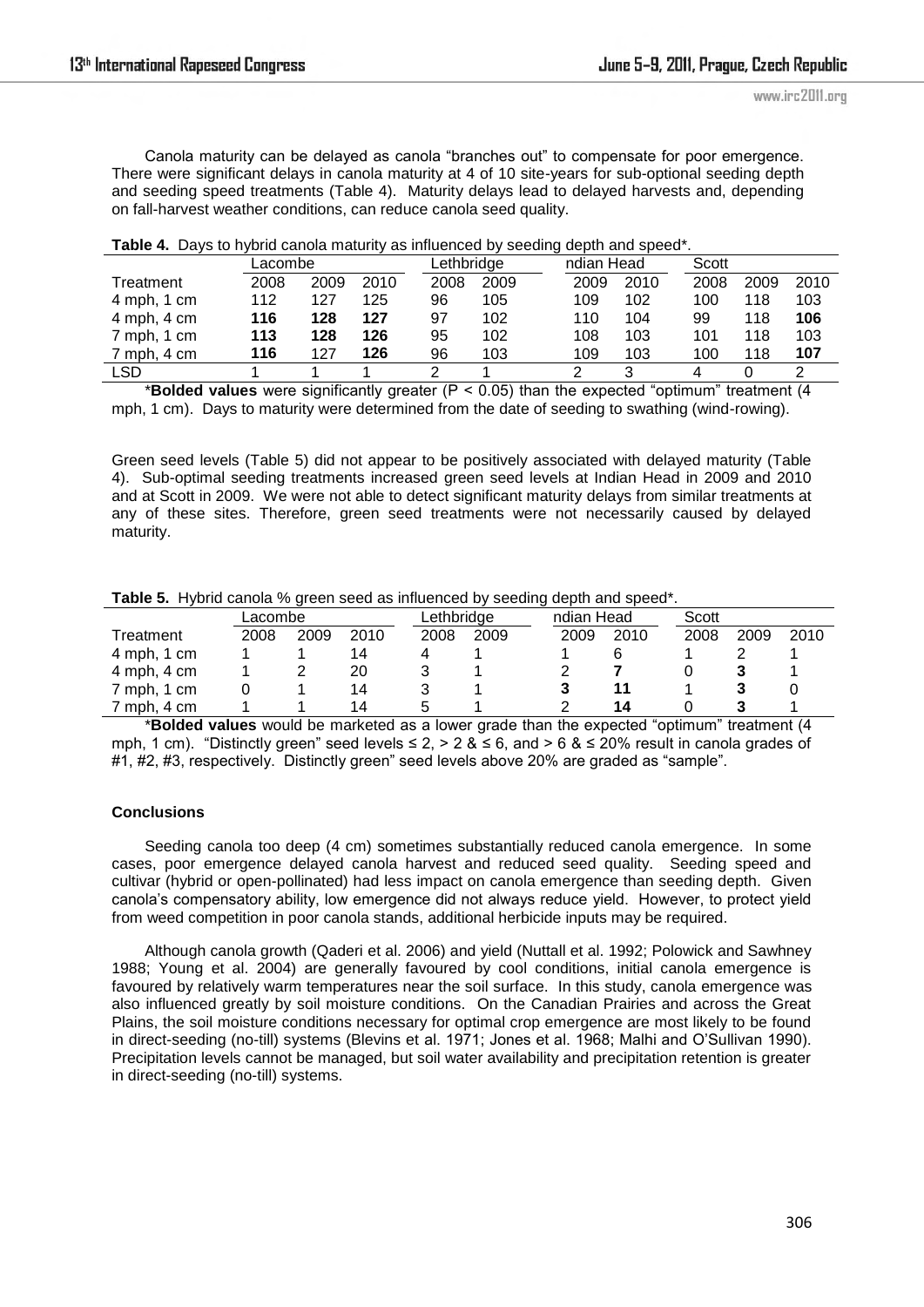Canola maturity can be delayed as canola "branches out" to compensate for poor emergence. There were significant delays in canola maturity at 4 of 10 site-years for sub-optional seeding depth and seeding speed treatments (Table 4). Maturity delays lead to delayed harvests and, depending on fall-harvest weather conditions, can reduce canola seed quality.

|                 | _acombe |      |      | Lethbridae |      | ndian Head |      | Scott |      |      |
|-----------------|---------|------|------|------------|------|------------|------|-------|------|------|
| Treatment       | 2008    | 2009 | 2010 | 2008       | 2009 | 2009       | 2010 | 2008  | 2009 | 2010 |
| $4$ mph, $1$ cm | 112     | 127  | 125  | 96         | 105  | 109        | 102  | 100   | 118  | 103  |
| 4 mph, 4 cm     | 116     | 128  | 127  | 97         | 102  | 110        | 104  | 99    | 118  | 106  |
| 7 mph, 1 cm     | 113     | 128  | 126  | 95         | 102  | 108        | 103  | 101   | 118  | 103  |
| 7 mph, 4 cm     | 116     | 127  | 126  | 96         | 103  | 109        | 103  | 100   | 118  | 107  |
| LSD             |         |      |      |            |      |            |      | 4     |      |      |

\***Bolded values** were significantly greater (P < 0.05) than the expected "optimum" treatment (4 mph, 1 cm). Days to maturity were determined from the date of seeding to swathing (wind-rowing).

Green seed levels (Table 5) did not appear to be positively associated with delayed maturity (Table 4). Sub-optimal seeding treatments increased green seed levels at Indian Head in 2009 and 2010 and at Scott in 2009. We were not able to detect significant maturity delays from similar treatments at any of these sites. Therefore, green seed treatments were not necessarily caused by delayed maturity.

|  | Table 5. Hybrid canola % green seed as influenced by seeding depth and speed*. |  |  |  |  |
|--|--------------------------------------------------------------------------------|--|--|--|--|
|--|--------------------------------------------------------------------------------|--|--|--|--|

|             | Lacombe |      |      |      | Lethbridge |  | ndian Head |      | Scott |      |      |
|-------------|---------|------|------|------|------------|--|------------|------|-------|------|------|
| Treatment   | 2008    | 2009 | 2010 | 2008 | 2009       |  | 2009       | 2010 | 2008  | 2009 | 2010 |
| 4 mph, 1 cm |         |      | 14   |      |            |  |            |      |       |      |      |
| 4 mph, 4 cm |         |      | 20   |      |            |  |            |      |       |      |      |
| 7 mph, 1 cm |         |      | 14   |      |            |  |            |      |       |      |      |
| 7 mph, 4 cm |         |      | 14   |      |            |  |            | 14   |       |      |      |

\***Bolded values** would be marketed as a lower grade than the expected "optimum" treatment (4 mph, 1 cm). "Distinctly green" seed levels  $\le 2$ ,  $> 2$  &  $\le 6$ , and  $> 6$  &  $\le 20\%$  result in canola grades of #1, #2, #3, respectively. Distinctly green" seed levels above 20% are graded as "sample".

### **Conclusions**

Seeding canola too deep (4 cm) sometimes substantially reduced canola emergence. In some cases, poor emergence delayed canola harvest and reduced seed quality. Seeding speed and cultivar (hybrid or open-pollinated) had less impact on canola emergence than seeding depth. Given canola's compensatory ability, low emergence did not always reduce yield. However, to protect yield from weed competition in poor canola stands, additional herbicide inputs may be required.

Although canola growth (Qaderi et al. 2006) and yield (Nuttall et al. 1992; Polowick and Sawhney 1988; Young et al. 2004) are generally favoured by cool conditions, initial canola emergence is favoured by relatively warm temperatures near the soil surface. In this study, canola emergence was also influenced greatly by soil moisture conditions. On the Canadian Prairies and across the Great Plains, the soil moisture conditions necessary for optimal crop emergence are most likely to be found in direct-seeding (no-till) systems (Blevins et al. 1971; Jones et al. 1968; Malhi and O'Sullivan 1990). Precipitation levels cannot be managed, but soil water availability and precipitation retention is greater in direct-seeding (no-till) systems.